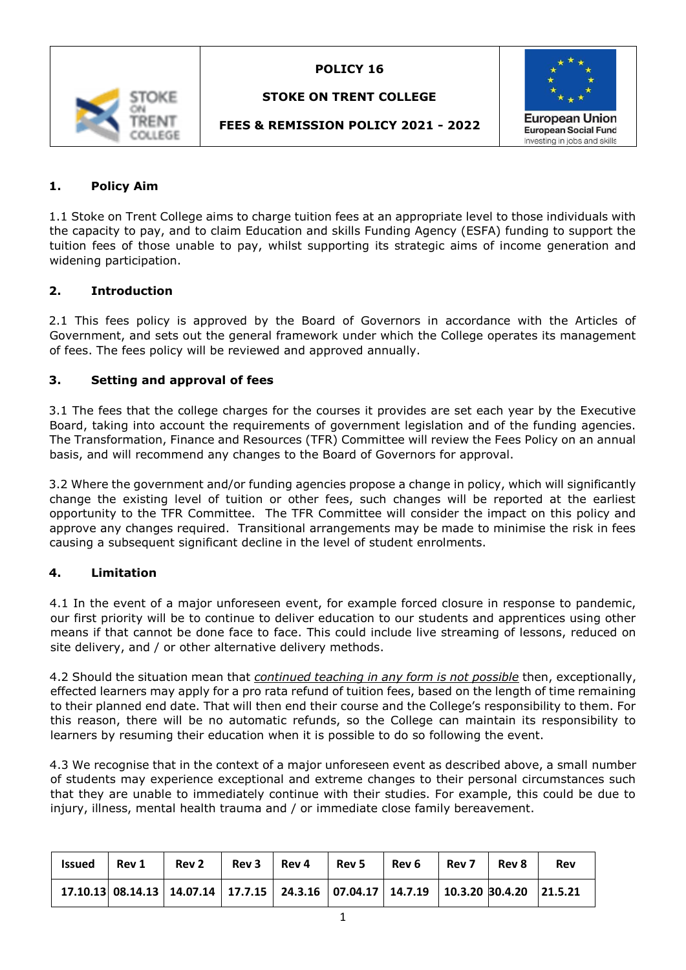

# **STOKE ON TRENT COLLEGE**



# **FEES & REMISSION POLICY 2021 - 2022**

### **1. Policy Aim**

1.1 Stoke on Trent College aims to charge tuition fees at an appropriate level to those individuals with the capacity to pay, and to claim Education and skills Funding Agency (ESFA) funding to support the tuition fees of those unable to pay, whilst supporting its strategic aims of income generation and widening participation.

#### **2. Introduction**

2.1 This fees policy is approved by the Board of Governors in accordance with the Articles of Government, and sets out the general framework under which the College operates its management of fees. The fees policy will be reviewed and approved annually.

#### **3. Setting and approval of fees**

3.1 The fees that the college charges for the courses it provides are set each year by the Executive Board, taking into account the requirements of government legislation and of the funding agencies. The Transformation, Finance and Resources (TFR) Committee will review the Fees Policy on an annual basis, and will recommend any changes to the Board of Governors for approval.

3.2 Where the government and/or funding agencies propose a change in policy, which will significantly change the existing level of tuition or other fees, such changes will be reported at the earliest opportunity to the TFR Committee. The TFR Committee will consider the impact on this policy and approve any changes required. Transitional arrangements may be made to minimise the risk in fees causing a subsequent significant decline in the level of student enrolments.

#### **4. Limitation**

4.1 In the event of a major unforeseen event, for example forced closure in response to pandemic, our first priority will be to continue to deliver education to our students and apprentices using other means if that cannot be done face to face. This could include live streaming of lessons, reduced on site delivery, and / or other alternative delivery methods.

4.2 Should the situation mean that *continued teaching in any form is not possible* then, exceptionally, effected learners may apply for a pro rata refund of tuition fees, based on the length of time remaining to their planned end date. That will then end their course and the College's responsibility to them. For this reason, there will be no automatic refunds, so the College can maintain its responsibility to learners by resuming their education when it is possible to do so following the event.

4.3 We recognise that in the context of a major unforeseen event as described above, a small number of students may experience exceptional and extreme changes to their personal circumstances such that they are unable to immediately continue with their studies. For example, this could be due to injury, illness, mental health trauma and / or immediate close family bereavement.

| <b>Issued</b> | Rev 1 | Rev 2                                                                                 |  | $Rev3$   Rev 4   Rev 5 | Rev 6 | Rev 7 | Rev 8 | Rev |
|---------------|-------|---------------------------------------------------------------------------------------|--|------------------------|-------|-------|-------|-----|
|               |       | $17.10.13$ 08.14.13 14.07.14 17.7.15 24.3.16 07.04.17 14.7.19 10.3.20 30.4.20 21.5.21 |  |                        |       |       |       |     |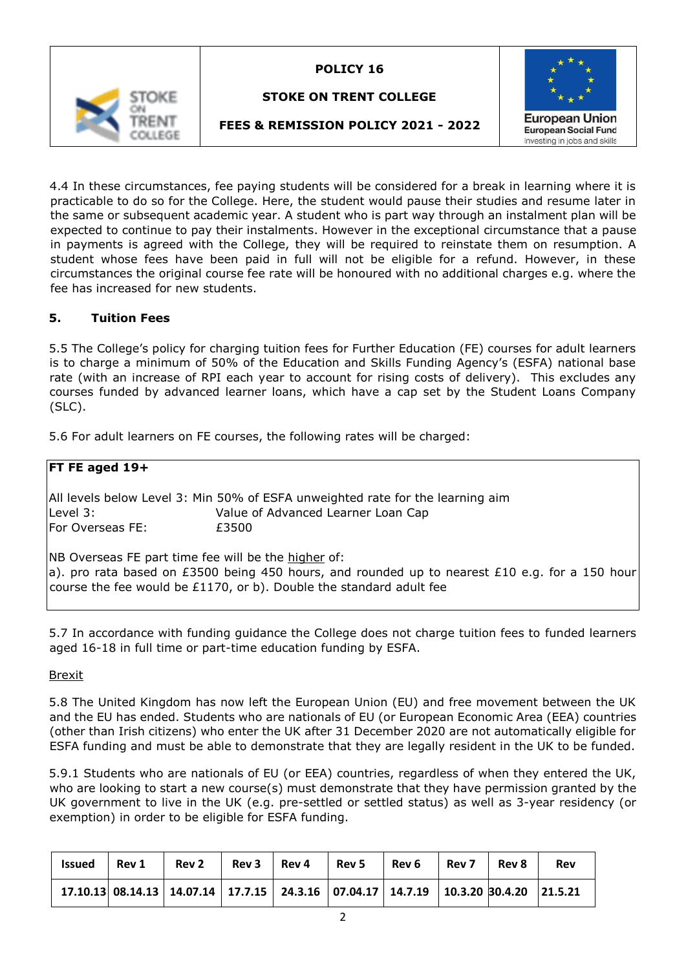

# **STOKE ON TRENT COLLEGE**



# **FEES & REMISSION POLICY 2021 - 2022**

4.4 In these circumstances, fee paying students will be considered for a break in learning where it is practicable to do so for the College. Here, the student would pause their studies and resume later in the same or subsequent academic year. A student who is part way through an instalment plan will be expected to continue to pay their instalments. However in the exceptional circumstance that a pause in payments is agreed with the College, they will be required to reinstate them on resumption. A student whose fees have been paid in full will not be eligible for a refund. However, in these circumstances the original course fee rate will be honoured with no additional charges e.g. where the fee has increased for new students.

#### **5. Tuition Fees**

5.5 The College's policy for charging tuition fees for Further Education (FE) courses for adult learners is to charge a minimum of 50% of the Education and Skills Funding Agency's (ESFA) national base rate (with an increase of RPI each year to account for rising costs of delivery). This excludes any courses funded by advanced learner loans, which have a cap set by the Student Loans Company (SLC).

5.6 For adult learners on FE courses, the following rates will be charged:

| FT FE aged 19+   |                                                                                                                                                                                                                                  |
|------------------|----------------------------------------------------------------------------------------------------------------------------------------------------------------------------------------------------------------------------------|
|                  | All levels below Level 3: Min 50% of ESFA unweighted rate for the learning aim                                                                                                                                                   |
| Level 3:         | Value of Advanced Learner Loan Cap                                                                                                                                                                                               |
| For Overseas FE: | £3500                                                                                                                                                                                                                            |
|                  | NB Overseas FE part time fee will be the higher of:<br>$ a)$ . pro rata based on £3500 being 450 hours, and rounded up to nearest £10 e.g. for a 150 hour<br>course the fee would be £1170, or b). Double the standard adult fee |

5.7 In accordance with funding guidance the College does not charge tuition fees to funded learners aged 16-18 in full time or part-time education funding by ESFA.

#### Brexit

5.8 The United Kingdom has now left the European Union (EU) and free movement between the UK and the EU has ended. Students who are nationals of EU (or European Economic Area (EEA) countries (other than Irish citizens) who enter the UK after 31 December 2020 are not automatically eligible for ESFA funding and must be able to demonstrate that they are legally resident in the UK to be funded.

5.9.1 Students who are nationals of EU (or EEA) countries, regardless of when they entered the UK, who are looking to start a new course(s) must demonstrate that they have permission granted by the UK government to live in the UK (e.g. pre-settled or settled status) as well as 3-year residency (or exemption) in order to be eligible for ESFA funding.

| <b>Issued</b> | Rev 1 | <b>Rev 2</b>                                                                          | Rev 3 | Rev 4 | Rev 5 | Rev 6 | Rev 7 | Rev 8 | Rev |
|---------------|-------|---------------------------------------------------------------------------------------|-------|-------|-------|-------|-------|-------|-----|
|               |       | $17.10.13$ 08.14.13 14.07.14 17.7.15 24.3.16 07.04.17 14.7.19 10.3.20 30.4.20 21.5.21 |       |       |       |       |       |       |     |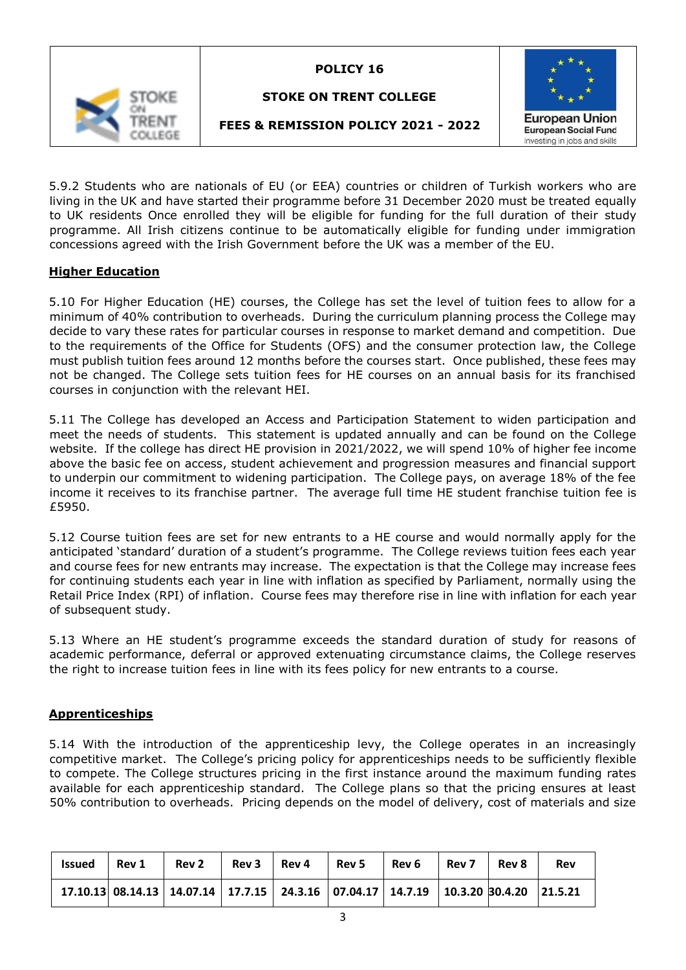

# **STOKE ON TRENT COLLEGE**



# **FEES & REMISSION POLICY 2021 - 2022**

5.9.2 Students who are nationals of EU (or EEA) countries or children of Turkish workers who are living in the UK and have started their programme before 31 December 2020 must be treated equally to UK residents Once enrolled they will be eligible for funding for the full duration of their study programme. All Irish citizens continue to be automatically eligible for funding under immigration concessions agreed with the Irish Government before the UK was a member of the EU.

### **Higher Education**

5.10 For Higher Education (HE) courses, the College has set the level of tuition fees to allow for a minimum of 40% contribution to overheads. During the curriculum planning process the College may decide to vary these rates for particular courses in response to market demand and competition. Due to the requirements of the Office for Students (OFS) and the consumer protection law, the College must publish tuition fees around 12 months before the courses start. Once published, these fees may not be changed. The College sets tuition fees for HE courses on an annual basis for its franchised courses in conjunction with the relevant HEI.

5.11 The College has developed an Access and Participation Statement to widen participation and meet the needs of students. This statement is updated annually and can be found on the College website. If the college has direct HE provision in 2021/2022, we will spend 10% of higher fee income above the basic fee on access, student achievement and progression measures and financial support to underpin our commitment to widening participation. The College pays, on average 18% of the fee income it receives to its franchise partner. The average full time HE student franchise tuition fee is £5950.

5.12 Course tuition fees are set for new entrants to a HE course and would normally apply for the anticipated 'standard' duration of a student's programme. The College reviews tuition fees each year and course fees for new entrants may increase. The expectation is that the College may increase fees for continuing students each year in line with inflation as specified by Parliament, normally using the Retail Price Index (RPI) of inflation. Course fees may therefore rise in line with inflation for each year of subsequent study.

5.13 Where an HE student's programme exceeds the standard duration of study for reasons of academic performance, deferral or approved extenuating circumstance claims, the College reserves the right to increase tuition fees in line with its fees policy for new entrants to a course.

### **Apprenticeships**

5.14 With the introduction of the apprenticeship levy, the College operates in an increasingly competitive market. The College's pricing policy for apprenticeships needs to be sufficiently flexible to compete. The College structures pricing in the first instance around the maximum funding rates available for each apprenticeship standard. The College plans so that the pricing ensures at least 50% contribution to overheads. Pricing depends on the model of delivery, cost of materials and size

| <b>Issued</b> | $ $ Rev 1 | <b>Rev 2</b>                                                                          | Rev 3 | Rev 4 | Rev 5 | Rev 6 | Rev 7 | Rev 8 | Rev |
|---------------|-----------|---------------------------------------------------------------------------------------|-------|-------|-------|-------|-------|-------|-----|
|               |           | $17.10.13$ 08.14.13 14.07.14 17.7.15 24.3.16 07.04.17 14.7.19 10.3.20 30.4.20 21.5.21 |       |       |       |       |       |       |     |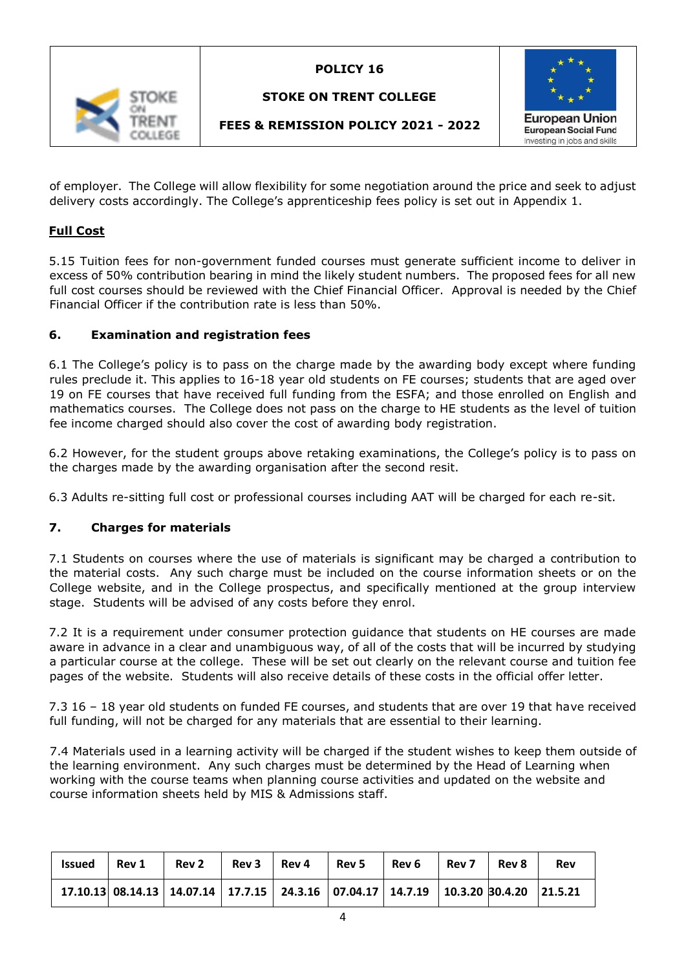

# **STOKE ON TRENT COLLEGE**



# **FEES & REMISSION POLICY 2021 - 2022**

of employer. The College will allow flexibility for some negotiation around the price and seek to adjust delivery costs accordingly. The College's apprenticeship fees policy is set out in Appendix 1.

# **Full Cost**

5.15 Tuition fees for non-government funded courses must generate sufficient income to deliver in excess of 50% contribution bearing in mind the likely student numbers. The proposed fees for all new full cost courses should be reviewed with the Chief Financial Officer. Approval is needed by the Chief Financial Officer if the contribution rate is less than 50%.

### **6. Examination and registration fees**

6.1 The College's policy is to pass on the charge made by the awarding body except where funding rules preclude it. This applies to 16-18 year old students on FE courses; students that are aged over 19 on FE courses that have received full funding from the ESFA; and those enrolled on English and mathematics courses. The College does not pass on the charge to HE students as the level of tuition fee income charged should also cover the cost of awarding body registration.

6.2 However, for the student groups above retaking examinations, the College's policy is to pass on the charges made by the awarding organisation after the second resit.

6.3 Adults re-sitting full cost or professional courses including AAT will be charged for each re-sit.

### **7. Charges for materials**

7.1 Students on courses where the use of materials is significant may be charged a contribution to the material costs. Any such charge must be included on the course information sheets or on the College website, and in the College prospectus, and specifically mentioned at the group interview stage. Students will be advised of any costs before they enrol.

7.2 It is a requirement under consumer protection guidance that students on HE courses are made aware in advance in a clear and unambiguous way, of all of the costs that will be incurred by studying a particular course at the college. These will be set out clearly on the relevant course and tuition fee pages of the website. Students will also receive details of these costs in the official offer letter.

7.3 16 – 18 year old students on funded FE courses, and students that are over 19 that have received full funding, will not be charged for any materials that are essential to their learning.

7.4 Materials used in a learning activity will be charged if the student wishes to keep them outside of the learning environment. Any such charges must be determined by the Head of Learning when working with the course teams when planning course activities and updated on the website and course information sheets held by MIS & Admissions staff.

| <b>Issued</b> | Rev 1 | Rev 2                                                                                 | Rev 3 | Rev 4 | <b>Rev 5</b> | Rev 6 | Rev 7 | Rev 8 | Rev |
|---------------|-------|---------------------------------------------------------------------------------------|-------|-------|--------------|-------|-------|-------|-----|
|               |       | $17.10.13$ 08.14.13 14.07.14 17.7.15 24.3.16 07.04.17 14.7.19 10.3.20 30.4.20 21.5.21 |       |       |              |       |       |       |     |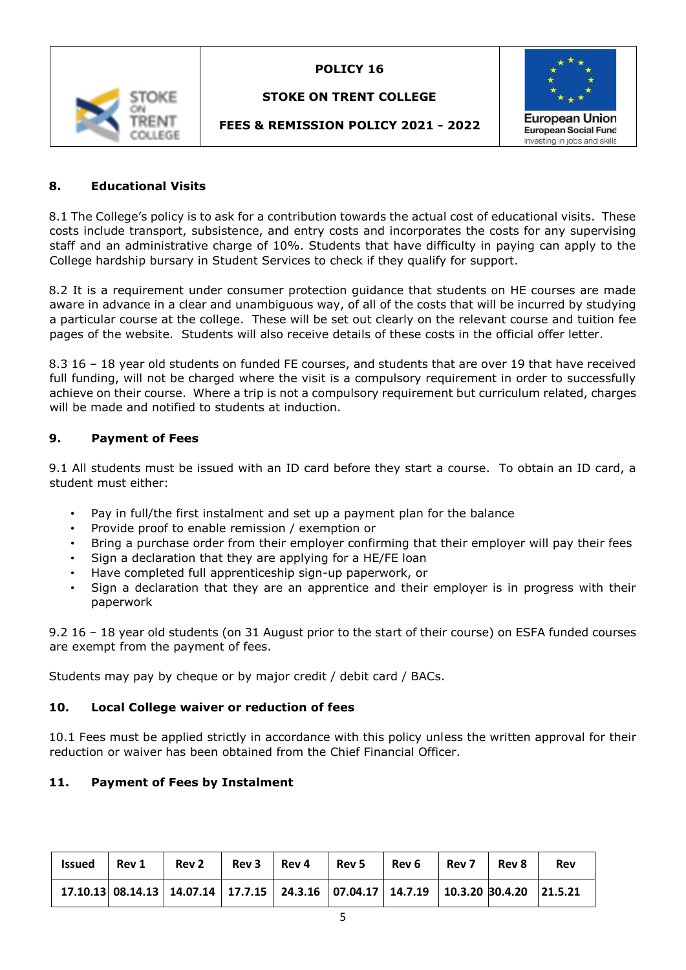

# **STOKE ON TRENT COLLEGE**



# **FEES & REMISSION POLICY 2021 - 2022**

#### **8. Educational Visits**

8.1 The College's policy is to ask for a contribution towards the actual cost of educational visits. These costs include transport, subsistence, and entry costs and incorporates the costs for any supervising staff and an administrative charge of 10%. Students that have difficulty in paying can apply to the College hardship bursary in Student Services to check if they qualify for support.

8.2 It is a requirement under consumer protection guidance that students on HE courses are made aware in advance in a clear and unambiguous way, of all of the costs that will be incurred by studying a particular course at the college. These will be set out clearly on the relevant course and tuition fee pages of the website. Students will also receive details of these costs in the official offer letter.

8.3 16 – 18 year old students on funded FE courses, and students that are over 19 that have received full funding, will not be charged where the visit is a compulsory requirement in order to successfully achieve on their course. Where a trip is not a compulsory requirement but curriculum related, charges will be made and notified to students at induction.

#### **9. Payment of Fees**

9.1 All students must be issued with an ID card before they start a course. To obtain an ID card, a student must either:

- Pay in full/the first instalment and set up a payment plan for the balance
- Provide proof to enable remission / exemption or
- Bring a purchase order from their employer confirming that their employer will pay their fees
- Sign a declaration that they are applying for a HE/FE loan
- Have completed full apprenticeship sign-up paperwork, or
- Sign a declaration that they are an apprentice and their employer is in progress with their paperwork

9.2 16 – 18 year old students (on 31 August prior to the start of their course) on ESFA funded courses are exempt from the payment of fees.

Students may pay by cheque or by major credit / debit card / BACs.

#### **10. Local College waiver or reduction of fees**

10.1 Fees must be applied strictly in accordance with this policy unless the written approval for their reduction or waiver has been obtained from the Chief Financial Officer.

### **11. Payment of Fees by Instalment**

| Issued   $Rev 1$ |                                                                                                     |  | Rev 2 Rev 3 Rev 4 Rev 5 Rev 6 | $Rev7$ Rev 8 | <b>Rev</b> |
|------------------|-----------------------------------------------------------------------------------------------------|--|-------------------------------|--------------|------------|
|                  | 17.10.13  08.14.13   14.07.14   17.7.15   24.3.16   07.04.17   14.7.19   10.3.20  30.4.20   21.5.21 |  |                               |              |            |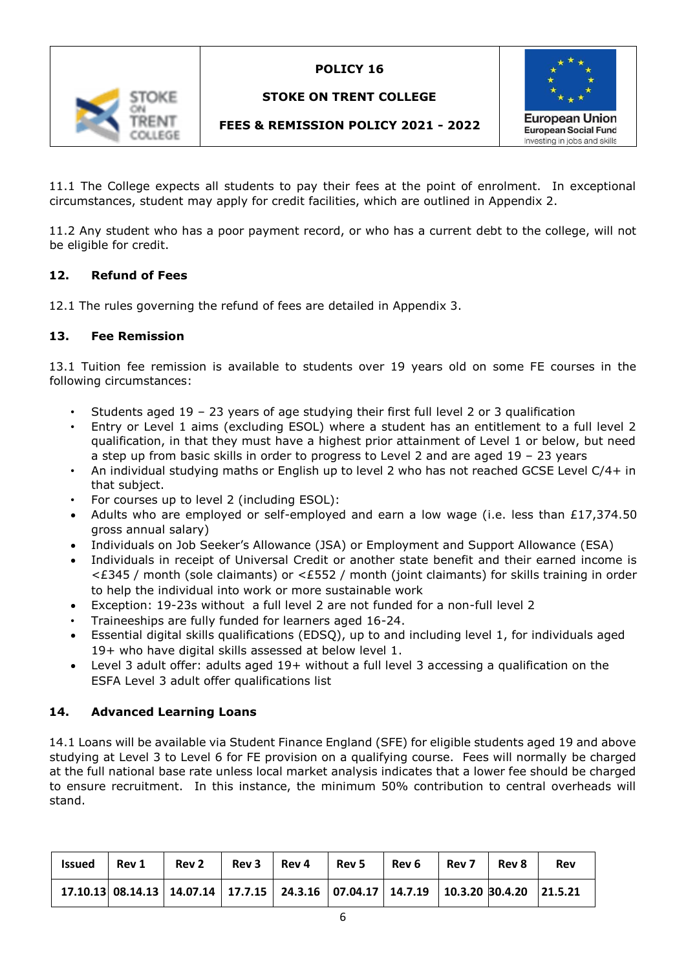

# **STOKE ON TRENT COLLEGE**



# **FEES & REMISSION POLICY 2021 - 2022**

11.1 The College expects all students to pay their fees at the point of enrolment. In exceptional circumstances, student may apply for credit facilities, which are outlined in Appendix 2.

11.2 Any student who has a poor payment record, or who has a current debt to the college, will not be eligible for credit.

### **12. Refund of Fees**

12.1 The rules governing the refund of fees are detailed in Appendix 3.

### **13. Fee Remission**

13.1 Tuition fee remission is available to students over 19 years old on some FE courses in the following circumstances:

- Students aged  $19 23$  years of age studying their first full level 2 or 3 qualification
- Entry or Level 1 aims (excluding ESOL) where a student has an entitlement to a full level 2 qualification, in that they must have a highest prior attainment of Level 1 or below, but need a step up from basic skills in order to progress to Level 2 and are aged 19 – 23 years
- An individual studying maths or English up to level 2 who has not reached GCSE Level C/4+ in that subject.
- For courses up to level 2 (including ESOL):
- Adults who are employed or self-employed and earn a low wage (i.e. less than £17,374.50 gross annual salary)
- Individuals on Job Seeker's Allowance (JSA) or Employment and Support Allowance (ESA)
- Individuals in receipt of Universal Credit or another state benefit and their earned income is <£345 / month (sole claimants) or <£552 / month (joint claimants) for skills training in order to help the individual into work or more sustainable work
- Exception: 19-23s without a full level 2 are not funded for a non-full level 2
- Traineeships are fully funded for learners aged 16-24.
- Essential digital skills qualifications (EDSQ), up to and including level 1, for individuals aged 19+ who have digital skills assessed at below level 1.
- Level 3 adult offer: adults aged 19+ without a full level 3 accessing a qualification on the ESFA Level 3 adult offer qualifications list

### **14. Advanced Learning Loans**

14.1 Loans will be available via Student Finance England (SFE) for eligible students aged 19 and above studying at Level 3 to Level 6 for FE provision on a qualifying course. Fees will normally be charged at the full national base rate unless local market analysis indicates that a lower fee should be charged to ensure recruitment. In this instance, the minimum 50% contribution to central overheads will stand.

| <b>Issued</b> | l Rev 1 | Rev 2                                                                                 | Rev 3 | Rev 4 | Rev 5 | Rev 6 | Rev 7 | Rev 8 | Rev |
|---------------|---------|---------------------------------------------------------------------------------------|-------|-------|-------|-------|-------|-------|-----|
|               |         | $17.10.13$ 08.14.13 14.07.14 17.7.15 24.3.16 07.04.17 14.7.19 10.3.20 30.4.20 21.5.21 |       |       |       |       |       |       |     |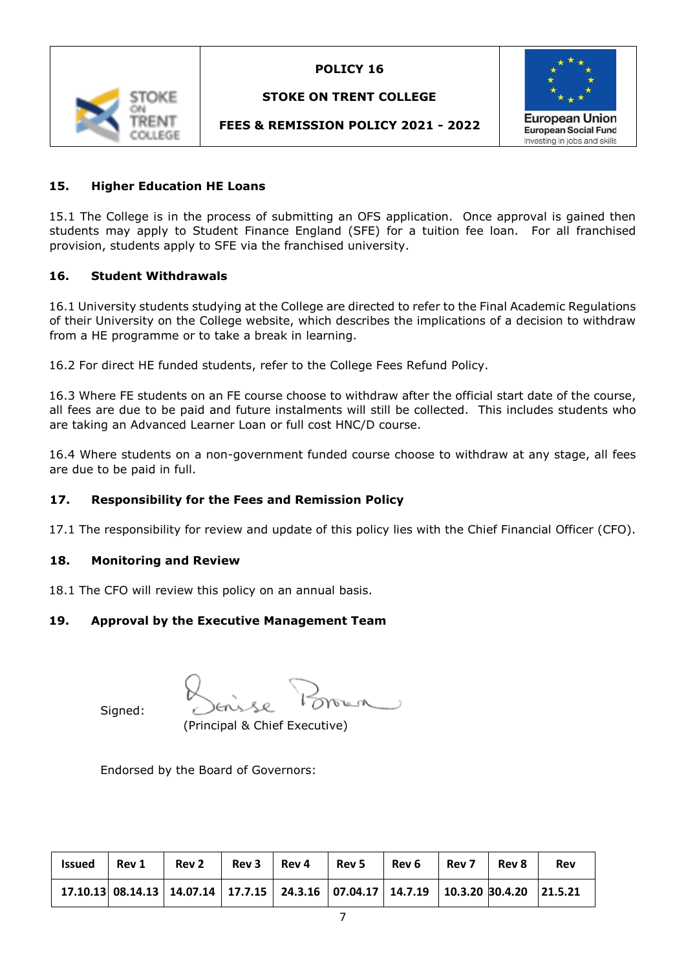

### **STOKE ON TRENT COLLEGE**



# **FEES & REMISSION POLICY 2021 - 2022**

### **15. Higher Education HE Loans**

15.1 The College is in the process of submitting an OFS application. Once approval is gained then students may apply to Student Finance England (SFE) for a tuition fee loan. For all franchised provision, students apply to SFE via the franchised university.

#### **16. Student Withdrawals**

16.1 University students studying at the College are directed to refer to the Final Academic Regulations of their University on the College website, which describes the implications of a decision to withdraw from a HE programme or to take a break in learning.

16.2 For direct HE funded students, refer to the College Fees Refund Policy.

16.3 Where FE students on an FE course choose to withdraw after the official start date of the course, all fees are due to be paid and future instalments will still be collected. This includes students who are taking an Advanced Learner Loan or full cost HNC/D course.

16.4 Where students on a non-government funded course choose to withdraw at any stage, all fees are due to be paid in full.

### **17. Responsibility for the Fees and Remission Policy**

17.1 The responsibility for review and update of this policy lies with the Chief Financial Officer (CFO).

#### **18. Monitoring and Review**

18.1 The CFO will review this policy on an annual basis.

### **19. Approval by the Executive Management Team**

Signed:

(Principal & Chief Executive)

Endorsed by the Board of Governors:

| <b>Issued</b> | Rev 1 | Rev 2                                                                                 | Rev 3 | Rev 4 | Rev 5   Rev 6 | Rev 7 | Rev 8 | <b>Rev</b> |
|---------------|-------|---------------------------------------------------------------------------------------|-------|-------|---------------|-------|-------|------------|
|               |       | $17.10.13$ 08.14.13 14.07.14 17.7.15 24.3.16 07.04.17 14.7.19 10.3.20 30.4.20 21.5.21 |       |       |               |       |       |            |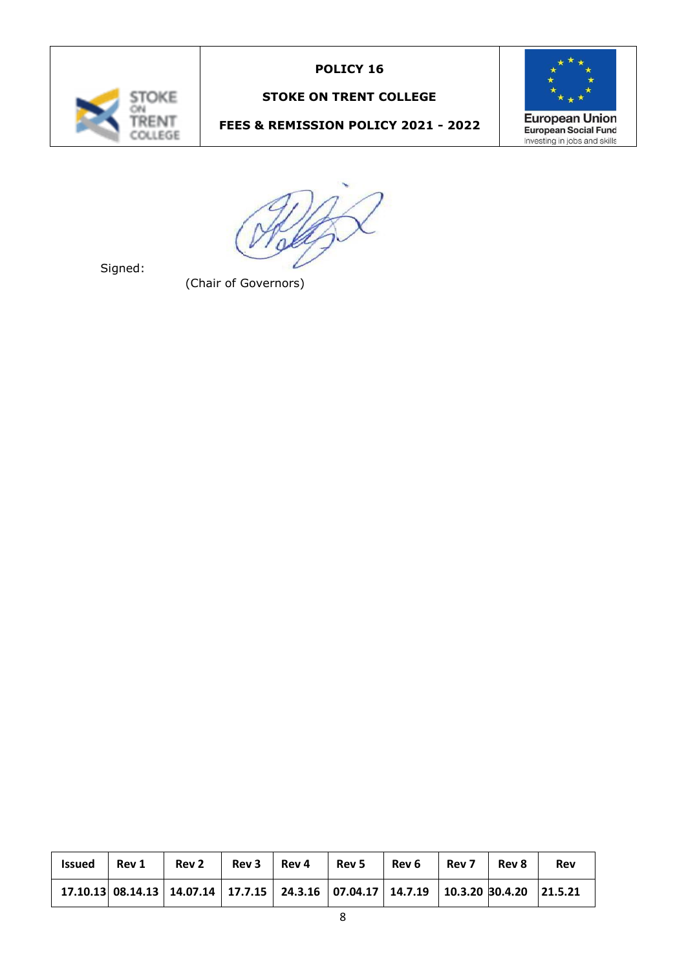

# **STOKE ON TRENT COLLEGE**

# **FEES & REMISSION POLICY 2021 - 2022**



Signed:

(Chair of Governors)

| <b>Issued</b> | Rev 1 | <b>Rev 2</b>                                                                          | Rev 3 | l Rev 4 | $\mathsf{Rev}\,5$ | $\overline{ }$ Rev 6 | Rev 7 | Rev 8 | Rev |  |
|---------------|-------|---------------------------------------------------------------------------------------|-------|---------|-------------------|----------------------|-------|-------|-----|--|
|               |       | $17.10.13$ 08.14.13 14.07.14 17.7.15 24.3.16 07.04.17 14.7.19 10.3.20 30.4.20 21.5.21 |       |         |                   |                      |       |       |     |  |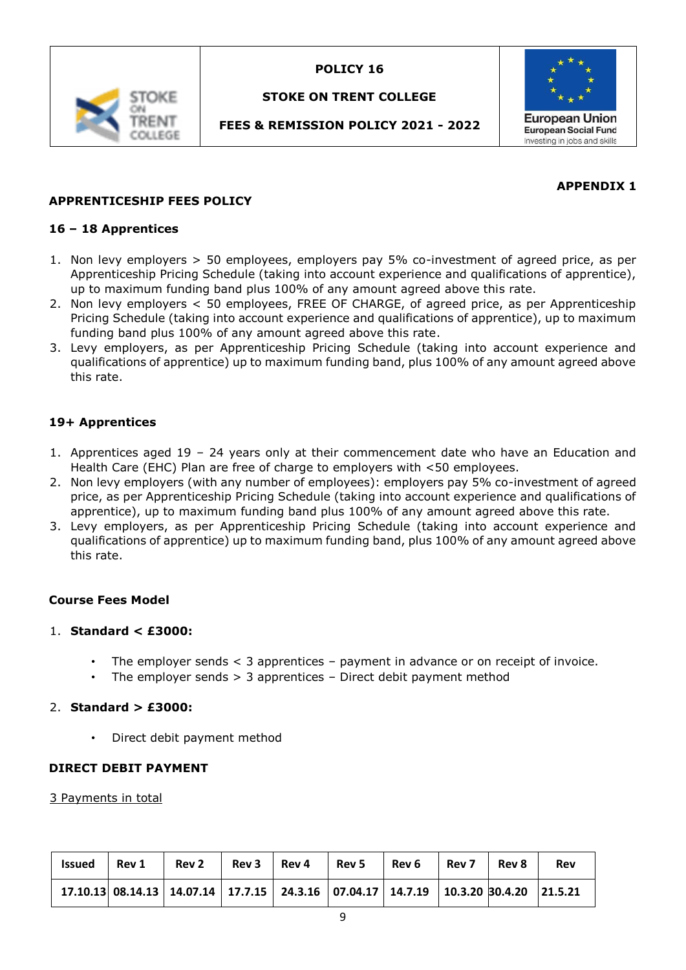

# **STOKE ON TRENT COLLEGE**

# **FEES & REMISSION POLICY 2021 - 2022**



### **APPENDIX 1**

### **APPRENTICESHIP FEES POLICY**

#### **16 – 18 Apprentices**

- 1. Non levy employers > 50 employees, employers pay 5% co-investment of agreed price, as per Apprenticeship Pricing Schedule (taking into account experience and qualifications of apprentice), up to maximum funding band plus 100% of any amount agreed above this rate.
- 2. Non levy employers < 50 employees, FREE OF CHARGE, of agreed price, as per Apprenticeship Pricing Schedule (taking into account experience and qualifications of apprentice), up to maximum funding band plus 100% of any amount agreed above this rate.
- 3. Levy employers, as per Apprenticeship Pricing Schedule (taking into account experience and qualifications of apprentice) up to maximum funding band, plus 100% of any amount agreed above this rate.

### **19+ Apprentices**

- 1. Apprentices aged 19 24 years only at their commencement date who have an Education and Health Care (EHC) Plan are free of charge to employers with <50 employees.
- 2. Non levy employers (with any number of employees): employers pay 5% co-investment of agreed price, as per Apprenticeship Pricing Schedule (taking into account experience and qualifications of apprentice), up to maximum funding band plus 100% of any amount agreed above this rate.
- 3. Levy employers, as per Apprenticeship Pricing Schedule (taking into account experience and qualifications of apprentice) up to maximum funding band, plus 100% of any amount agreed above this rate.

#### **Course Fees Model**

#### 1. **Standard < £3000:**

- The employer sends  $\lt$  3 apprentices payment in advance or on receipt of invoice.
- The employer sends  $> 3$  apprentices  $-$  Direct debit payment method

#### 2. **Standard > £3000:**

• Direct debit payment method

#### **DIRECT DEBIT PAYMENT**

#### 3 Payments in total

| <b>Issued</b> | Rev 1 | Rev 2                                                                                 | Rev 3 | Rev 4 | Rev 5 | l Rev 6 | l Rev 7 | Rev 8 | <b>Rev</b> |
|---------------|-------|---------------------------------------------------------------------------------------|-------|-------|-------|---------|---------|-------|------------|
|               |       | $17.10.13$ 08.14.13 14.07.14 17.7.15 24.3.16 07.04.17 14.7.19 10.3.20 30.4.20 21.5.21 |       |       |       |         |         |       |            |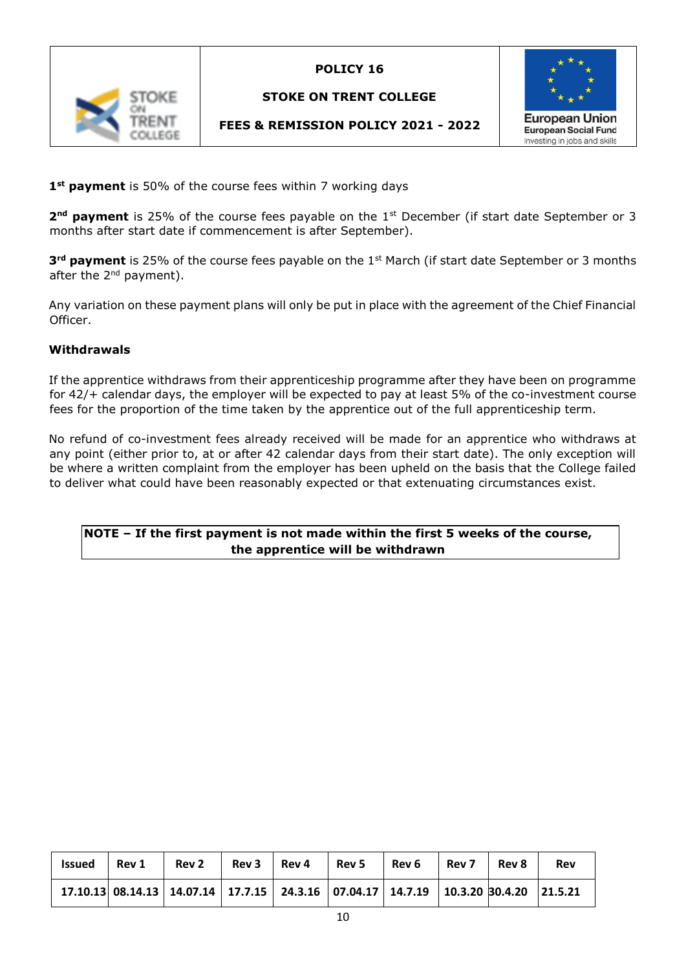

### **STOKE ON TRENT COLLEGE**





**1st payment** is 50% of the course fees within 7 working days

**2<sup>nd</sup> payment** is 25% of the course fees payable on the 1<sup>st</sup> December (if start date September or 3 months after start date if commencement is after September).

**3<sup>rd</sup> payment** is 25% of the course fees payable on the 1<sup>st</sup> March (if start date September or 3 months after the 2<sup>nd</sup> payment).

Any variation on these payment plans will only be put in place with the agreement of the Chief Financial Officer.

#### **Withdrawals**

If the apprentice withdraws from their apprenticeship programme after they have been on programme for 42/+ calendar days, the employer will be expected to pay at least 5% of the co-investment course fees for the proportion of the time taken by the apprentice out of the full apprenticeship term.

No refund of co-investment fees already received will be made for an apprentice who withdraws at any point (either prior to, at or after 42 calendar days from their start date). The only exception will be where a written complaint from the employer has been upheld on the basis that the College failed to deliver what could have been reasonably expected or that extenuating circumstances exist.

### **NOTE – If the first payment is not made within the first 5 weeks of the course, the apprentice will be withdrawn**

| Issued | <b>Rev 1</b> | Rev2                                                                                  |  | $Rev 3$   Rev 4   Rev 5   Rev 6 | $Rev7$ Rev 8 | Rev |
|--------|--------------|---------------------------------------------------------------------------------------|--|---------------------------------|--------------|-----|
|        |              | $17.10.13$ 08.14.13 14.07.14 17.7.15 24.3.16 07.04.17 14.7.19 10.3.20 30.4.20 21.5.21 |  |                                 |              |     |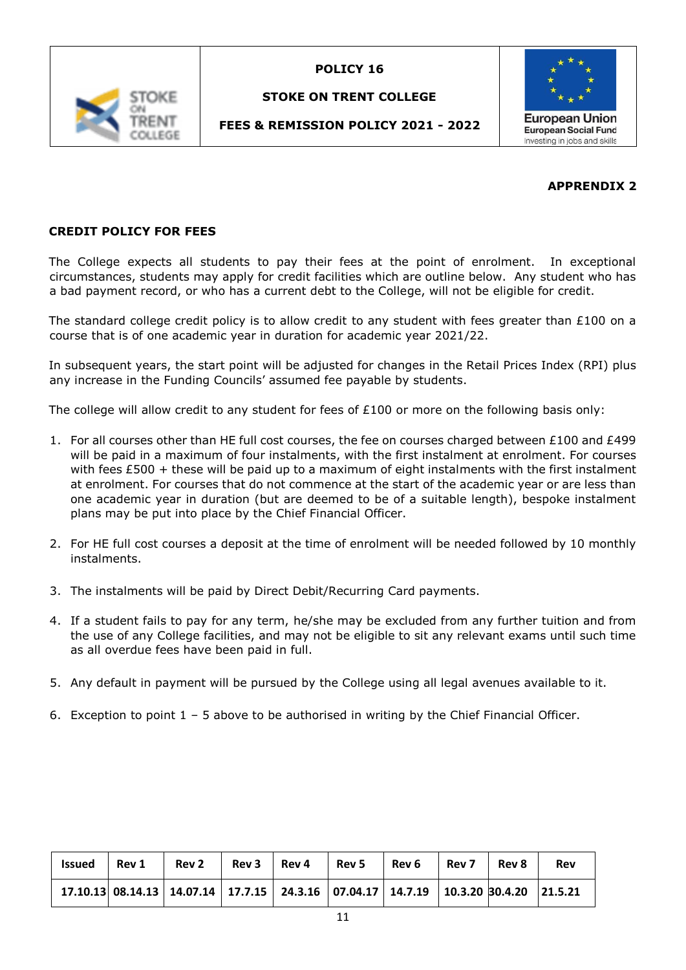

### **STOKE ON TRENT COLLEGE**

# **FEES & REMISSION POLICY 2021 - 2022**



#### **APPRENDIX 2**

# **CREDIT POLICY FOR FEES**

The College expects all students to pay their fees at the point of enrolment. In exceptional circumstances, students may apply for credit facilities which are outline below. Any student who has a bad payment record, or who has a current debt to the College, will not be eligible for credit.

The standard college credit policy is to allow credit to any student with fees greater than £100 on a course that is of one academic year in duration for academic year 2021/22.

In subsequent years, the start point will be adjusted for changes in the Retail Prices Index (RPI) plus any increase in the Funding Councils' assumed fee payable by students.

The college will allow credit to any student for fees of £100 or more on the following basis only:

- 1. For all courses other than HE full cost courses, the fee on courses charged between  $£100$  and  $£499$ will be paid in a maximum of four instalments, with the first instalment at enrolment. For courses with fees £500 + these will be paid up to a maximum of eight instalments with the first instalment at enrolment. For courses that do not commence at the start of the academic year or are less than one academic year in duration (but are deemed to be of a suitable length), bespoke instalment plans may be put into place by the Chief Financial Officer.
- 2. For HE full cost courses a deposit at the time of enrolment will be needed followed by 10 monthly instalments.
- 3. The instalments will be paid by Direct Debit/Recurring Card payments.
- 4. If a student fails to pay for any term, he/she may be excluded from any further tuition and from the use of any College facilities, and may not be eligible to sit any relevant exams until such time as all overdue fees have been paid in full.
- 5. Any default in payment will be pursued by the College using all legal avenues available to it.
- 6. Exception to point  $1 5$  above to be authorised in writing by the Chief Financial Officer.

| <b>Issued</b> | Rev 1 | <b>Rev 2</b>                                                                          |  | $Rev 3$ Rev 4 Rev 5 Rev 6 Rev 7 |  | Rev 8 | <b>Rev</b> |
|---------------|-------|---------------------------------------------------------------------------------------|--|---------------------------------|--|-------|------------|
|               |       | $17.10.13$ 08.14.13 14.07.14 17.7.15 24.3.16 07.04.17 14.7.19 10.3.20 30.4.20 21.5.21 |  |                                 |  |       |            |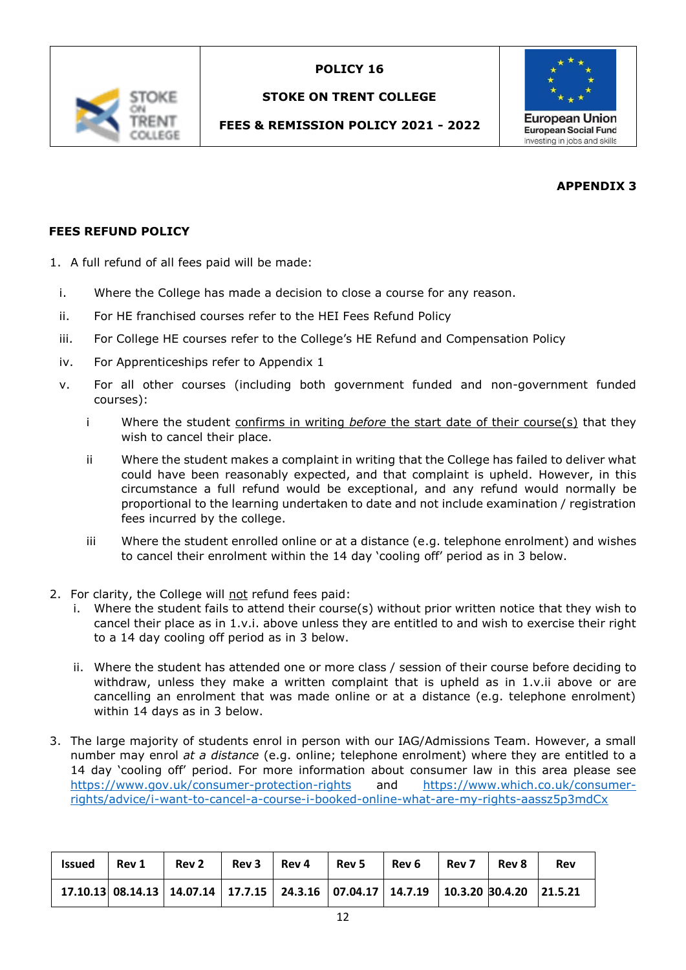

### **STOKE ON TRENT COLLEGE**

# **FEES & REMISSION POLICY 2021 - 2022**



# **APPENDIX 3**

# **FEES REFUND POLICY**

- 1. A full refund of all fees paid will be made:
- i. Where the College has made a decision to close a course for any reason.
- ii. For HE franchised courses refer to the HEI Fees Refund Policy
- iii. For College HE courses refer to the College's HE Refund and Compensation Policy
- iv. For Apprenticeships refer to Appendix 1
- v. For all other courses (including both government funded and non-government funded courses):
	- i Where the student confirms in writing *before* the start date of their course(s) that they wish to cancel their place.
	- ii Where the student makes a complaint in writing that the College has failed to deliver what could have been reasonably expected, and that complaint is upheld. However, in this circumstance a full refund would be exceptional, and any refund would normally be proportional to the learning undertaken to date and not include examination / registration fees incurred by the college.
	- iii Where the student enrolled online or at a distance (e.g. telephone enrolment) and wishes to cancel their enrolment within the 14 day 'cooling off' period as in 3 below.
- 2. For clarity, the College will not refund fees paid:
	- i. Where the student fails to attend their course(s) without prior written notice that they wish to cancel their place as in 1.v.i. above unless they are entitled to and wish to exercise their right to a 14 day cooling off period as in 3 below.
	- ii. Where the student has attended one or more class / session of their course before deciding to withdraw, unless they make a written complaint that is upheld as in 1.v.ii above or are cancelling an enrolment that was made online or at a distance (e.g. telephone enrolment) within 14 days as in 3 below.
- 3. The large majority of students enrol in person with our IAG/Admissions Team. However, a small number may enrol *at a distance* (e.g. online; telephone enrolment) where they are entitled to a 14 day 'cooling off' period. For more information about consumer law in this area please see <https://www.gov.uk/consumer-protection-rights> and [https://www.which.co.uk/consumer](https://www.which.co.uk/consumer-rights/advice/i-want-to-cancel-a-course-i-booked-online-what-are-my-rights-aassz5p3mdCx)[rights/advice/i-want-to-cancel-a-course-i-booked-online-what-are-my-rights-aassz5p3mdCx](https://www.which.co.uk/consumer-rights/advice/i-want-to-cancel-a-course-i-booked-online-what-are-my-rights-aassz5p3mdCx)

| <b>Issued</b> | Rev 1 | Rev <sub>2</sub>                                                                      | Rev 3 | Rev 4 | Rev 5 | Rev <sub>6</sub> | Rev 7 | Rev 8 | Rev |
|---------------|-------|---------------------------------------------------------------------------------------|-------|-------|-------|------------------|-------|-------|-----|
|               |       | $17.10.13$ 08.14.13 14.07.14 17.7.15 24.3.16 07.04.17 14.7.19 10.3.20 30.4.20 21.5.21 |       |       |       |                  |       |       |     |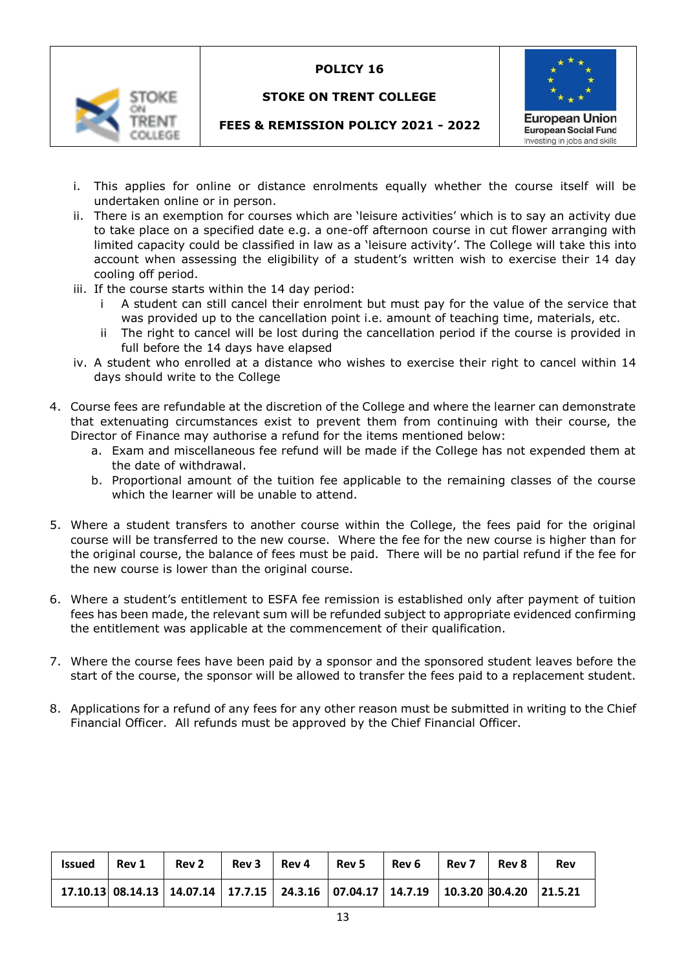

### **STOKE ON TRENT COLLEGE**



# **FEES & REMISSION POLICY 2021 - 2022**

- i. This applies for online or distance enrolments equally whether the course itself will be undertaken online or in person.
- ii. There is an exemption for courses which are 'leisure activities' which is to say an activity due to take place on a specified date e.g. a one-off afternoon course in cut flower arranging with limited capacity could be classified in law as a 'leisure activity'. The College will take this into account when assessing the eligibility of a student's written wish to exercise their 14 day cooling off period.
- iii. If the course starts within the 14 day period:
	- i A student can still cancel their enrolment but must pay for the value of the service that was provided up to the cancellation point i.e. amount of teaching time, materials, etc.
	- The right to cancel will be lost during the cancellation period if the course is provided in full before the 14 days have elapsed
- iv. A student who enrolled at a distance who wishes to exercise their right to cancel within 14 days should write to the College
- 4. Course fees are refundable at the discretion of the College and where the learner can demonstrate that extenuating circumstances exist to prevent them from continuing with their course, the Director of Finance may authorise a refund for the items mentioned below:
	- a. Exam and miscellaneous fee refund will be made if the College has not expended them at the date of withdrawal.
	- b. Proportional amount of the tuition fee applicable to the remaining classes of the course which the learner will be unable to attend.
- 5. Where a student transfers to another course within the College, the fees paid for the original course will be transferred to the new course. Where the fee for the new course is higher than for the original course, the balance of fees must be paid. There will be no partial refund if the fee for the new course is lower than the original course.
- 6. Where a student's entitlement to ESFA fee remission is established only after payment of tuition fees has been made, the relevant sum will be refunded subject to appropriate evidenced confirming the entitlement was applicable at the commencement of their qualification.
- 7. Where the course fees have been paid by a sponsor and the sponsored student leaves before the start of the course, the sponsor will be allowed to transfer the fees paid to a replacement student.
- 8. Applications for a refund of any fees for any other reason must be submitted in writing to the Chief Financial Officer. All refunds must be approved by the Chief Financial Officer.

| <b>Issued</b> | Rev 1 | <b>Rev 2</b>                                                                          | Rev 3 | Rev 4 | Rev 5 | Rev 6 | Rev 7 l | Rev 8 | <b>Rev</b> |
|---------------|-------|---------------------------------------------------------------------------------------|-------|-------|-------|-------|---------|-------|------------|
|               |       | $17.10.13$ 08.14.13 14.07.14 17.7.15 24.3.16 07.04.17 14.7.19 10.3.20 30.4.20 21.5.21 |       |       |       |       |         |       |            |